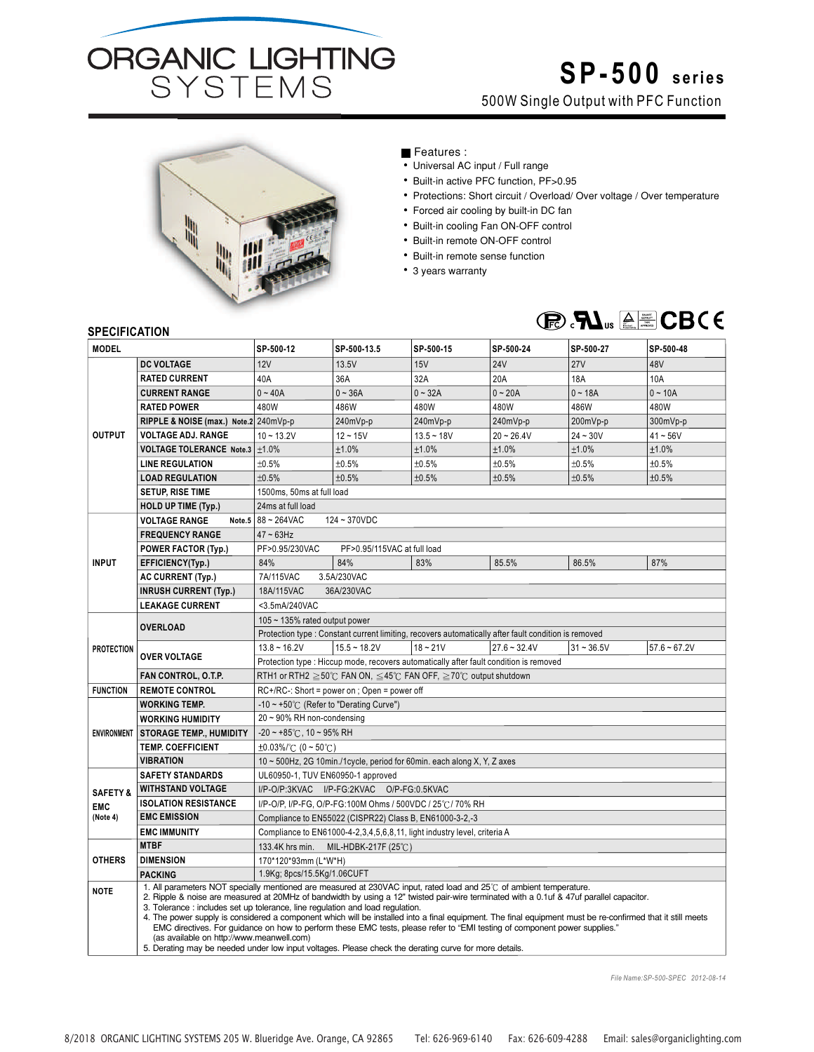

## **SP-500 series**

500W Single Output with PFC Function



## Features :

- Universal AC input / Full range
- Built-in active PFC function, PF>0.95
- Protections: Short circuit / Overload/ Over voltage / Over temperature
- Forced air cooling by built-in DC fan
- Built-in cooling Fan ON-OFF control
- Built-in remote ON-OFF control
- Built-in remote sense function
- 3 years warranty



## **SPECIFICATION**

| <b>MODEL</b>                                  |                                                                                                                                                                                                                                                                                                                                                                                                                                                                                                                                                                                                                                                                                                                                                                                                    | SP-500-12                                                                | SP-500-13.5                                                                            | SP-500-15    | SP-500-24                                                                                            | SP-500-27    | SP-500-48      |
|-----------------------------------------------|----------------------------------------------------------------------------------------------------------------------------------------------------------------------------------------------------------------------------------------------------------------------------------------------------------------------------------------------------------------------------------------------------------------------------------------------------------------------------------------------------------------------------------------------------------------------------------------------------------------------------------------------------------------------------------------------------------------------------------------------------------------------------------------------------|--------------------------------------------------------------------------|----------------------------------------------------------------------------------------|--------------|------------------------------------------------------------------------------------------------------|--------------|----------------|
|                                               | <b>DC VOLTAGE</b>                                                                                                                                                                                                                                                                                                                                                                                                                                                                                                                                                                                                                                                                                                                                                                                  | 12V                                                                      | 13.5V                                                                                  | 15V          | <b>24V</b>                                                                                           | 27V          | 48V            |
| <b>OUTPUT</b>                                 | <b>RATED CURRENT</b>                                                                                                                                                                                                                                                                                                                                                                                                                                                                                                                                                                                                                                                                                                                                                                               | 40A                                                                      | 36A                                                                                    | 32A          | 20A                                                                                                  | 18A          | 10A            |
|                                               | <b>CURRENT RANGE</b>                                                                                                                                                                                                                                                                                                                                                                                                                                                                                                                                                                                                                                                                                                                                                                               | $0 - 40A$                                                                | $0 - 36A$                                                                              | $0 - 32A$    | $0 - 20A$                                                                                            | $0 - 18A$    | $0 - 10A$      |
|                                               | <b>RATED POWER</b>                                                                                                                                                                                                                                                                                                                                                                                                                                                                                                                                                                                                                                                                                                                                                                                 | 480W                                                                     | 486W                                                                                   | 480W         | 480W                                                                                                 | 486W         | 480W           |
|                                               | RIPPLE & NOISE (max.) Note.2 240mVp-p                                                                                                                                                                                                                                                                                                                                                                                                                                                                                                                                                                                                                                                                                                                                                              |                                                                          | 240mVp-p                                                                               | 240mVp-p     | 240mVp-p                                                                                             | 200mVp-p     | 300mVp-p       |
|                                               | <b>VOLTAGE ADJ. RANGE</b>                                                                                                                                                                                                                                                                                                                                                                                                                                                                                                                                                                                                                                                                                                                                                                          | $10 - 13.2V$                                                             | $12 - 15V$                                                                             | $13.5 - 18V$ | $20 - 26.4V$                                                                                         | $24 - 30V$   | $41 - 56V$     |
|                                               | VOLTAGE TOLERANCE Note.3 ±1.0%                                                                                                                                                                                                                                                                                                                                                                                                                                                                                                                                                                                                                                                                                                                                                                     |                                                                          | ±1.0%                                                                                  | ±1.0%        | ±1.0%                                                                                                | ±1.0%        | ±1.0%          |
|                                               | <b>LINE REGULATION</b>                                                                                                                                                                                                                                                                                                                                                                                                                                                                                                                                                                                                                                                                                                                                                                             | ±0.5%                                                                    | ±0.5%                                                                                  | ±0.5%        | ±0.5%                                                                                                | ±0.5%        | ±0.5%          |
|                                               | <b>LOAD REGULATION</b>                                                                                                                                                                                                                                                                                                                                                                                                                                                                                                                                                                                                                                                                                                                                                                             | ±0.5%                                                                    | ±0.5%                                                                                  | ±0.5%        | ±0.5%                                                                                                | ±0.5%        | ±0.5%          |
|                                               | <b>SETUP, RISE TIME</b>                                                                                                                                                                                                                                                                                                                                                                                                                                                                                                                                                                                                                                                                                                                                                                            | 1500ms, 50ms at full load                                                |                                                                                        |              |                                                                                                      |              |                |
|                                               | <b>HOLD UP TIME (Typ.)</b>                                                                                                                                                                                                                                                                                                                                                                                                                                                                                                                                                                                                                                                                                                                                                                         | 24ms at full load                                                        |                                                                                        |              |                                                                                                      |              |                |
|                                               | <b>VOLTAGE RANGE</b>                                                                                                                                                                                                                                                                                                                                                                                                                                                                                                                                                                                                                                                                                                                                                                               | Note.5 $88 - 264$ VAC<br>124~370VDC                                      |                                                                                        |              |                                                                                                      |              |                |
| <b>INPUT</b>                                  | <b>FREQUENCY RANGE</b>                                                                                                                                                                                                                                                                                                                                                                                                                                                                                                                                                                                                                                                                                                                                                                             | $47 \sim 63$ Hz                                                          |                                                                                        |              |                                                                                                      |              |                |
|                                               | <b>POWER FACTOR (Typ.)</b>                                                                                                                                                                                                                                                                                                                                                                                                                                                                                                                                                                                                                                                                                                                                                                         | PF>0.95/230VAC<br>PF>0.95/115VAC at full load                            |                                                                                        |              |                                                                                                      |              |                |
|                                               | EFFICIENCY(Typ.)                                                                                                                                                                                                                                                                                                                                                                                                                                                                                                                                                                                                                                                                                                                                                                                   | 84%                                                                      | 84%                                                                                    | 83%          | 85.5%                                                                                                | 86.5%        | 87%            |
|                                               | <b>AC CURRENT (Typ.)</b>                                                                                                                                                                                                                                                                                                                                                                                                                                                                                                                                                                                                                                                                                                                                                                           | 7A/115VAC<br>3.5A/230VAC                                                 |                                                                                        |              |                                                                                                      |              |                |
|                                               | <b>INRUSH CURRENT (Typ.)</b>                                                                                                                                                                                                                                                                                                                                                                                                                                                                                                                                                                                                                                                                                                                                                                       | 18A/115VAC<br>36A/230VAC                                                 |                                                                                        |              |                                                                                                      |              |                |
|                                               | <b>LEAKAGE CURRENT</b>                                                                                                                                                                                                                                                                                                                                                                                                                                                                                                                                                                                                                                                                                                                                                                             | <3.5mA/240VAC                                                            |                                                                                        |              |                                                                                                      |              |                |
| <b>PROTECTION</b>                             | <b>OVERLOAD</b>                                                                                                                                                                                                                                                                                                                                                                                                                                                                                                                                                                                                                                                                                                                                                                                    | 105 ~ 135% rated output power                                            |                                                                                        |              |                                                                                                      |              |                |
|                                               |                                                                                                                                                                                                                                                                                                                                                                                                                                                                                                                                                                                                                                                                                                                                                                                                    |                                                                          |                                                                                        |              | Protection type : Constant current limiting, recovers automatically after fault condition is removed |              |                |
|                                               | <b>OVER VOLTAGE</b>                                                                                                                                                                                                                                                                                                                                                                                                                                                                                                                                                                                                                                                                                                                                                                                | $13.8 - 16.2V$                                                           | $15.5 - 18.2V$                                                                         | $18 - 21V$   | $27.6 - 32.4V$                                                                                       | $31 - 36.5V$ | $57.6 - 67.2V$ |
|                                               |                                                                                                                                                                                                                                                                                                                                                                                                                                                                                                                                                                                                                                                                                                                                                                                                    |                                                                          | Protection type : Hiccup mode, recovers automatically after fault condition is removed |              |                                                                                                      |              |                |
|                                               | FAN CONTROL, O.T.P.                                                                                                                                                                                                                                                                                                                                                                                                                                                                                                                                                                                                                                                                                                                                                                                | RTH1 or RTH2 ≧50℃ FAN ON, ≤45℃ FAN OFF, ≧70℃ output shutdown             |                                                                                        |              |                                                                                                      |              |                |
| <b>FUNCTION</b>                               | <b>REMOTE CONTROL</b>                                                                                                                                                                                                                                                                                                                                                                                                                                                                                                                                                                                                                                                                                                                                                                              | RC+/RC-: Short = power on ; Open = power off                             |                                                                                        |              |                                                                                                      |              |                |
| <b>ENVIRONMENT</b>                            | <b>WORKING TEMP.</b>                                                                                                                                                                                                                                                                                                                                                                                                                                                                                                                                                                                                                                                                                                                                                                               | $-10 \sim +50^{\circ}$ (Refer to "Derating Curve")                       |                                                                                        |              |                                                                                                      |              |                |
|                                               | <b>WORKING HUMIDITY</b>                                                                                                                                                                                                                                                                                                                                                                                                                                                                                                                                                                                                                                                                                                                                                                            | $20 \sim 90\%$ RH non-condensing                                         |                                                                                        |              |                                                                                                      |              |                |
|                                               | <b>STORAGE TEMP., HUMIDITY</b>                                                                                                                                                                                                                                                                                                                                                                                                                                                                                                                                                                                                                                                                                                                                                                     | $-20 \sim +85^{\circ}$ C, 10 ~ 95% RH                                    |                                                                                        |              |                                                                                                      |              |                |
|                                               | <b>TEMP. COEFFICIENT</b>                                                                                                                                                                                                                                                                                                                                                                                                                                                                                                                                                                                                                                                                                                                                                                           | $\pm 0.03\%$ (0 ~ 50°C)                                                  |                                                                                        |              |                                                                                                      |              |                |
|                                               | <b>VIBRATION</b>                                                                                                                                                                                                                                                                                                                                                                                                                                                                                                                                                                                                                                                                                                                                                                                   | 10 ~ 500Hz, 2G 10min./1cycle, period for 60min. each along X, Y, Z axes  |                                                                                        |              |                                                                                                      |              |                |
| <b>SAFETY &amp;</b><br><b>EMC</b><br>(Note 4) | <b>SAFETY STANDARDS</b>                                                                                                                                                                                                                                                                                                                                                                                                                                                                                                                                                                                                                                                                                                                                                                            | UL60950-1, TUV EN60950-1 approved                                        |                                                                                        |              |                                                                                                      |              |                |
|                                               | <b>WITHSTAND VOLTAGE</b>                                                                                                                                                                                                                                                                                                                                                                                                                                                                                                                                                                                                                                                                                                                                                                           | I/P-O/P:3KVAC I/P-FG:2KVAC O/P-FG:0.5KVAC                                |                                                                                        |              |                                                                                                      |              |                |
|                                               | <b>ISOLATION RESISTANCE</b>                                                                                                                                                                                                                                                                                                                                                                                                                                                                                                                                                                                                                                                                                                                                                                        | I/P-O/P, I/P-FG, O/P-FG:100M Ohms / 500VDC / 25℃/ 70% RH                 |                                                                                        |              |                                                                                                      |              |                |
|                                               | <b>EMC EMISSION</b>                                                                                                                                                                                                                                                                                                                                                                                                                                                                                                                                                                                                                                                                                                                                                                                | Compliance to EN55022 (CISPR22) Class B, EN61000-3-2,-3                  |                                                                                        |              |                                                                                                      |              |                |
|                                               | <b>EMC IMMUNITY</b>                                                                                                                                                                                                                                                                                                                                                                                                                                                                                                                                                                                                                                                                                                                                                                                | Compliance to EN61000-4-2,3,4,5,6,8,11, light industry level, criteria A |                                                                                        |              |                                                                                                      |              |                |
| <b>OTHERS</b>                                 | <b>MTBF</b>                                                                                                                                                                                                                                                                                                                                                                                                                                                                                                                                                                                                                                                                                                                                                                                        | 133.4K hrs min.<br>MIL-HDBK-217F (25 $°C$ )                              |                                                                                        |              |                                                                                                      |              |                |
|                                               | <b>DIMENSION</b>                                                                                                                                                                                                                                                                                                                                                                                                                                                                                                                                                                                                                                                                                                                                                                                   | 170*120*93mm (L*W*H)                                                     |                                                                                        |              |                                                                                                      |              |                |
|                                               | <b>PACKING</b>                                                                                                                                                                                                                                                                                                                                                                                                                                                                                                                                                                                                                                                                                                                                                                                     | 1.9Kg; 8pcs/15.5Kg/1.06CUFT                                              |                                                                                        |              |                                                                                                      |              |                |
| <b>NOTE</b>                                   | 1. All parameters NOT specially mentioned are measured at 230VAC input, rated load and 25°C of ambient temperature.<br>2. Ripple & noise are measured at 20MHz of bandwidth by using a 12" twisted pair-wire terminated with a 0.1uf & 47uf parallel capacitor.<br>3. Tolerance: includes set up tolerance, line regulation and load regulation.<br>4. The power supply is considered a component which will be installed into a final equipment. The final equipment must be re-confirmed that it still meets<br>EMC directives. For quidance on how to perform these EMC tests, please refer to "EMI testing of component power supplies."<br>(as available on http://www.meanwell.com)<br>5. Derating may be needed under low input voltages. Please check the derating curve for more details. |                                                                          |                                                                                        |              |                                                                                                      |              |                |

*File Name:SP-500-SPEC 2012-08-14*